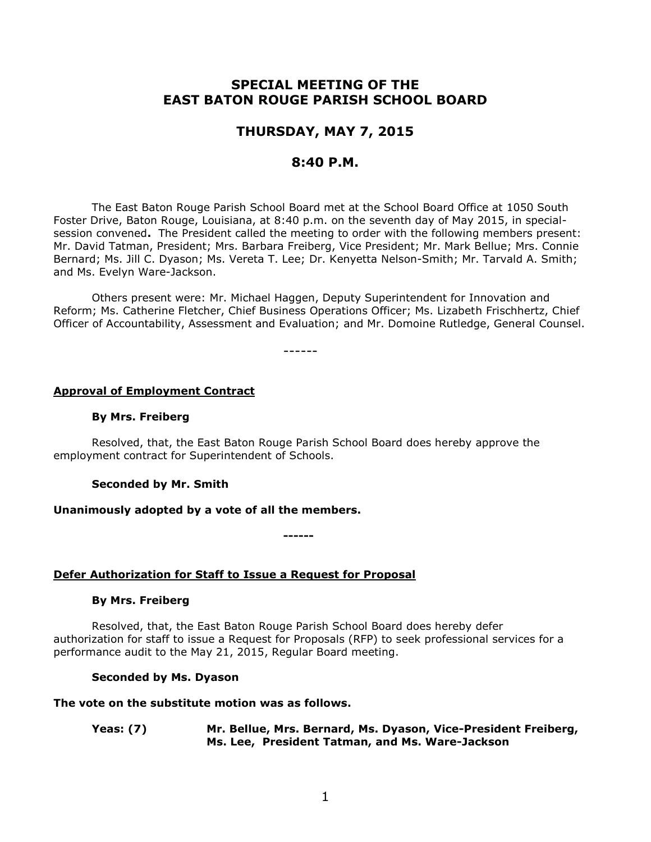# **SPECIAL MEETING OF THE EAST BATON ROUGE PARISH SCHOOL BOARD**

## **THURSDAY, MAY 7, 2015**

## **8:40 P.M.**

The East Baton Rouge Parish School Board met at the School Board Office at 1050 South Foster Drive, Baton Rouge, Louisiana, at 8:40 p.m. on the seventh day of May 2015, in specialsession convened**.** The President called the meeting to order with the following members present: Mr. David Tatman, President; Mrs. Barbara Freiberg, Vice President; Mr. Mark Bellue; Mrs. Connie Bernard; Ms. Jill C. Dyason; Ms. Vereta T. Lee; Dr. Kenyetta Nelson-Smith; Mr. Tarvald A. Smith; and Ms. Evelyn Ware-Jackson.

Others present were: Mr. Michael Haggen, Deputy Superintendent for Innovation and Reform; Ms. Catherine Fletcher, Chief Business Operations Officer; Ms. Lizabeth Frischhertz, Chief Officer of Accountability, Assessment and Evaluation; and Mr. Domoine Rutledge, General Counsel.

------

## **Approval of Employment Contract**

## **By Mrs. Freiberg**

Resolved, that, the East Baton Rouge Parish School Board does hereby approve the employment contract for Superintendent of Schools.

## **Seconded by Mr. Smith**

## **Unanimously adopted by a vote of all the members.**

**------**

## **Defer Authorization for Staff to Issue a Request for Proposal**

## **By Mrs. Freiberg**

Resolved, that, the East Baton Rouge Parish School Board does hereby defer authorization for staff to issue a Request for Proposals (RFP) to seek professional services for a performance audit to the May 21, 2015, Regular Board meeting.

## **Seconded by Ms. Dyason**

## **The vote on the substitute motion was as follows.**

**Yeas: (7) Mr. Bellue, Mrs. Bernard, Ms. Dyason, Vice-President Freiberg, Ms. Lee, President Tatman, and Ms. Ware-Jackson**